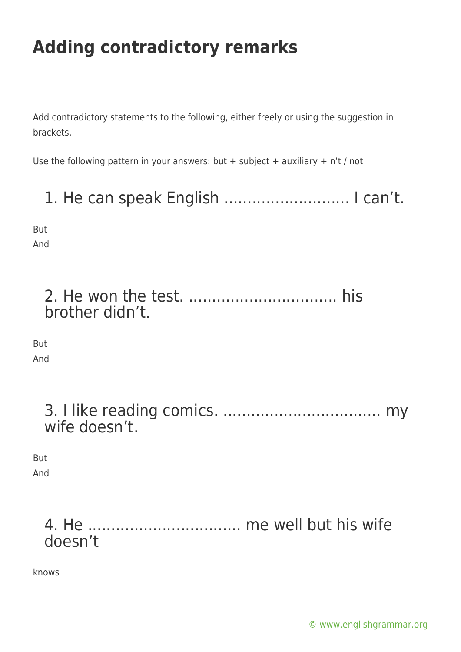Add contradictory statements to the following, either freely or using the suggestion in brackets.

Use the following pattern in your answers: but + subject + auxiliary +  $n't$  / not

1. He can speak English ........................... I can't.

But And

> 2. He won the test. ................................ his brother didn't.

But And

| wife doesn't. |  |
|---------------|--|

But

And

#### 4. He ................................. me well but his wife doesn't

knows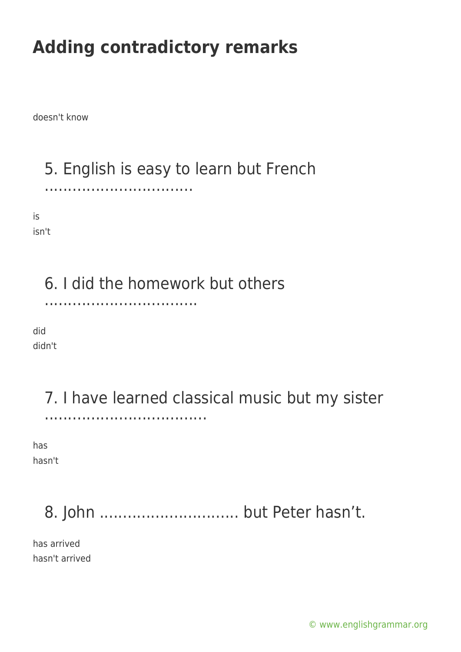doesn't know

5. English is easy to learn but French

................................

is

isn't

### 6. I did the homework but others

.................................

did didn't

#### 7. I have learned classical music but my sister ...................................

has hasn't

# 8. John .............................. but Peter hasn't.

has arrived hasn't arrived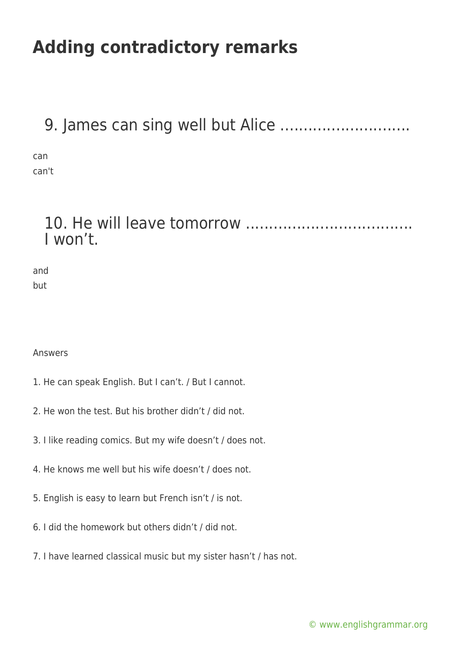### 9. James can sing well but Alice ............................

can can't

### 10. He will leave tomorrow .................................... I won't.

| and |  |
|-----|--|
| but |  |

Answers

- 1. He can speak English. But I can't. / But I cannot.
- 2. He won the test. But his brother didn't / did not.
- 3. I like reading comics. But my wife doesn't / does not.
- 4. He knows me well but his wife doesn't / does not.
- 5. English is easy to learn but French isn't / is not.
- 6. I did the homework but others didn't / did not.
- 7. I have learned classical music but my sister hasn't / has not.